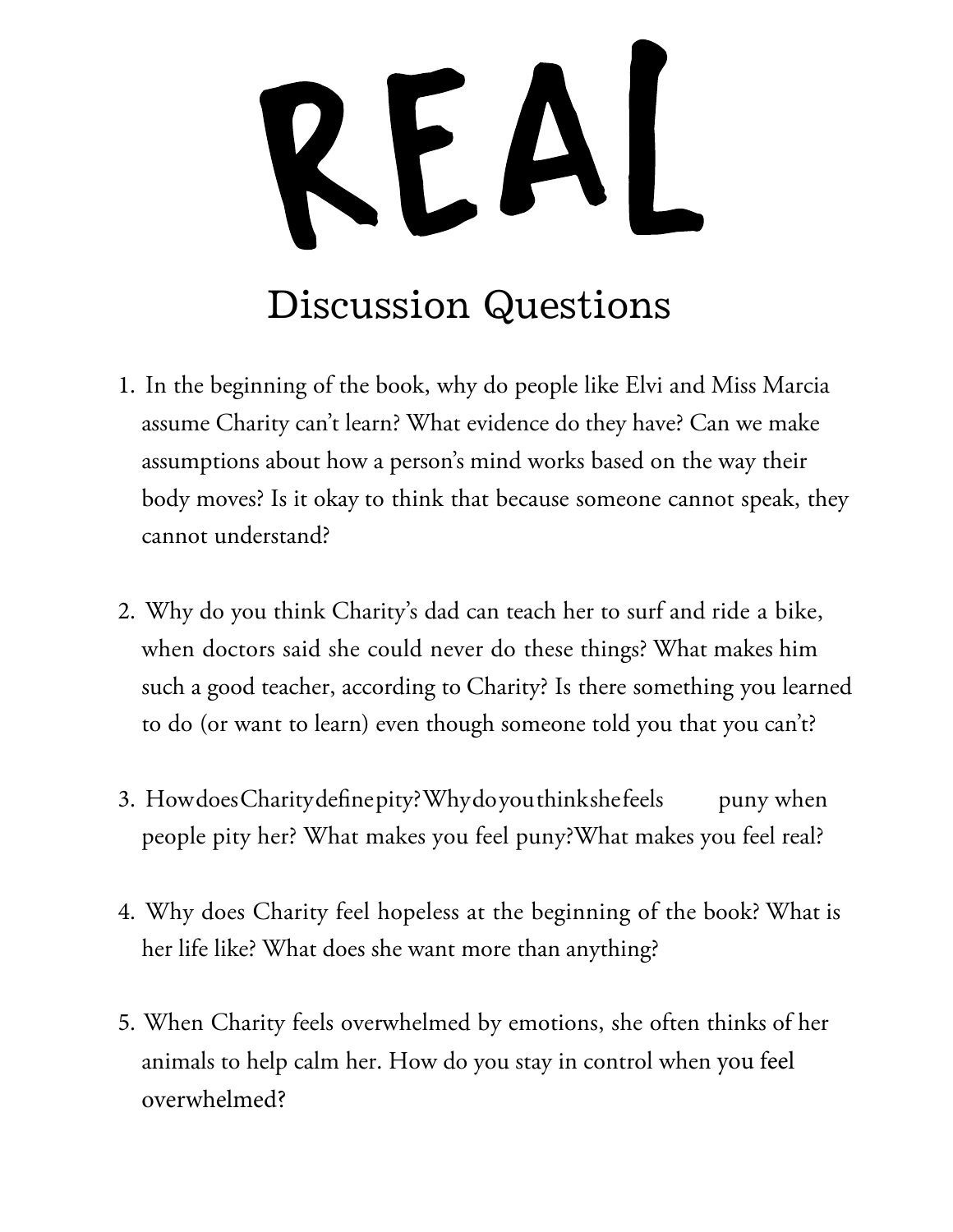## REAL Discussion Questions

- 1. In the beginning of the book, why do people like Elvi and Miss Marcia assume Charity can't learn? What evidence do they have? Can we make assumptions about how a person's mind works based on the way their body moves? Is it okay to think that because someone cannot speak, they cannot understand?
- 2. Why do you think Charity's dad can teach her to surf and ride a bike, when doctors said she could never do these things? What makes him such a good teacher, according to Charity? Is there something you learned to do (or want to learn) even though someone told you that you can't?
- 3. How does Charity define pity? Why do you think she feels puny when people pity her? What makes you feel puny?What makes you feel real?
- 4. Why does Charity feel hopeless at the beginning of the book? What is her life like? What does she want more than anything?
- 5. When Charity feels overwhelmed by emotions, she often thinks of her animals to help calm her. How do you stay in control when you feel overwhelmed?